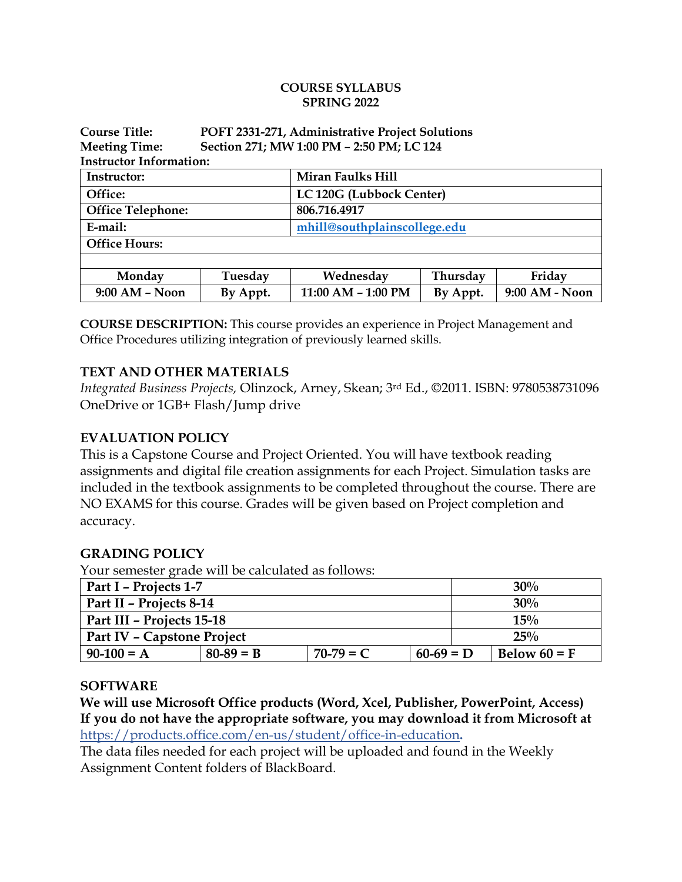#### **COURSE SYLLABUS SPRING 2022**

| <b>Course Title:</b>           | POFT 2331-271, Administrative Project Solutions |                              |          |                |  |  |  |  |
|--------------------------------|-------------------------------------------------|------------------------------|----------|----------------|--|--|--|--|
| <b>Meeting Time:</b>           | Section 271; MW 1:00 PM - 2:50 PM; LC 124       |                              |          |                |  |  |  |  |
| <b>Instructor Information:</b> |                                                 |                              |          |                |  |  |  |  |
| Instructor:                    |                                                 | Miran Faulks Hill            |          |                |  |  |  |  |
| Office:                        |                                                 | LC 120G (Lubbock Center)     |          |                |  |  |  |  |
| <b>Office Telephone:</b>       |                                                 | 806.716.4917                 |          |                |  |  |  |  |
| E-mail:                        |                                                 | mhill@southplainscollege.edu |          |                |  |  |  |  |
| <b>Office Hours:</b>           |                                                 |                              |          |                |  |  |  |  |
|                                |                                                 |                              |          |                |  |  |  |  |
| Monday                         | Tuesday                                         | Wednesday                    | Thursday | Friday         |  |  |  |  |
| 9:00 AM - Noon                 | By Appt.                                        | 11:00 AM - 1:00 PM           | By Appt. | 9:00 AM - Noon |  |  |  |  |

**COURSE DESCRIPTION:** This course provides an experience in Project Management and Office Procedures utilizing integration of previously learned skills.

#### **TEXT AND OTHER MATERIALS**

*Integrated Business Projects,* Olinzock, Arney, Skean; 3rd Ed., ©2011. ISBN: 9780538731096 OneDrive or 1GB+ Flash/Jump drive

#### **EVALUATION POLICY**

This is a Capstone Course and Project Oriented. You will have textbook reading assignments and digital file creation assignments for each Project. Simulation tasks are included in the textbook assignments to be completed throughout the course. There are NO EXAMS for this course. Grades will be given based on Project completion and accuracy.

#### **GRADING POLICY**

Your semester grade will be calculated as follows:

| Part I - Projects 1-7      |             |             |             |  | 30%            |  |
|----------------------------|-------------|-------------|-------------|--|----------------|--|
| Part II - Projects 8-14    |             |             |             |  | 30%            |  |
| Part III - Projects 15-18  |             |             |             |  | 15%            |  |
| Part IV - Capstone Project |             |             |             |  | 25%            |  |
| $90-100 = A$               | $80-89 = B$ | $70-79 = C$ | $60-69 = D$ |  | Below $60 = F$ |  |

#### **SOFTWARE**

**We will use Microsoft Office products (Word, Xcel, Publisher, PowerPoint, Access) If you do not have the appropriate software, you may download it from Microsoft at** <https://products.office.com/en-us/student/office-in-education>**.**

The data files needed for each project will be uploaded and found in the Weekly Assignment Content folders of BlackBoard.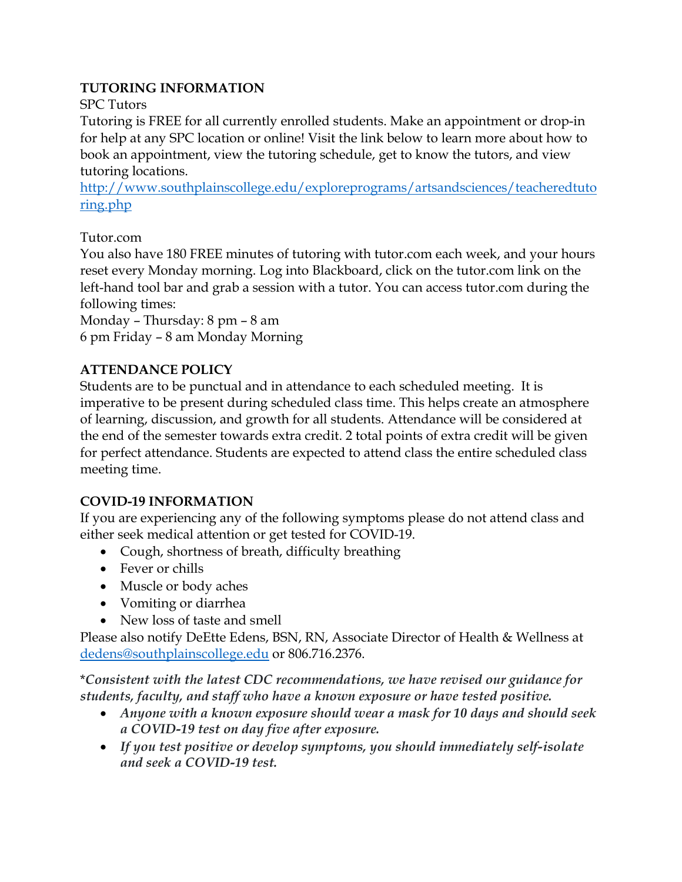### **TUTORING INFORMATION**

### SPC Tutors

Tutoring is FREE for all currently enrolled students. Make an appointment or drop-in for help at any SPC location or online! Visit the link below to learn more about how to book an appointment, view the tutoring schedule, get to know the tutors, and view tutoring locations.

[http://www.southplainscollege.edu/exploreprograms/artsandsciences/teacheredtuto](http://www.southplainscollege.edu/exploreprograms/artsandsciences/teacheredtutoring.php) [ring.php](http://www.southplainscollege.edu/exploreprograms/artsandsciences/teacheredtutoring.php)

### Tutor.com

You also have 180 FREE minutes of tutoring with tutor.com each week, and your hours reset every Monday morning. Log into Blackboard, click on the tutor.com link on the left-hand tool bar and grab a session with a tutor. You can access tutor.com during the following times:

Monday – Thursday: 8 pm – 8 am 6 pm Friday – 8 am Monday Morning

### **ATTENDANCE POLICY**

Students are to be punctual and in attendance to each scheduled meeting. It is imperative to be present during scheduled class time. This helps create an atmosphere of learning, discussion, and growth for all students. Attendance will be considered at the end of the semester towards extra credit. 2 total points of extra credit will be given for perfect attendance. Students are expected to attend class the entire scheduled class meeting time.

### **COVID-19 INFORMATION**

If you are experiencing any of the following symptoms please do not attend class and either seek medical attention or get tested for COVID-19.

- Cough, shortness of breath, difficulty breathing
- Fever or chills
- Muscle or body aches
- Vomiting or diarrhea
- New loss of taste and smell

Please also notify DeEtte Edens, BSN, RN, Associate Director of Health & Wellness at [dedens@southplainscollege.edu](mailto:dedens@southplainscollege.edu) or 806.716.2376.

\**Consistent with the latest CDC recommendations, we have revised our guidance for students, faculty, and staff who have a known exposure or have tested positive.*

- *Anyone with a known exposure should wear a mask for 10 days and should seek a COVID-19 test on day five after exposure.*
- *If you test positive or develop symptoms, you should immediately self-isolate and seek a COVID-19 test.*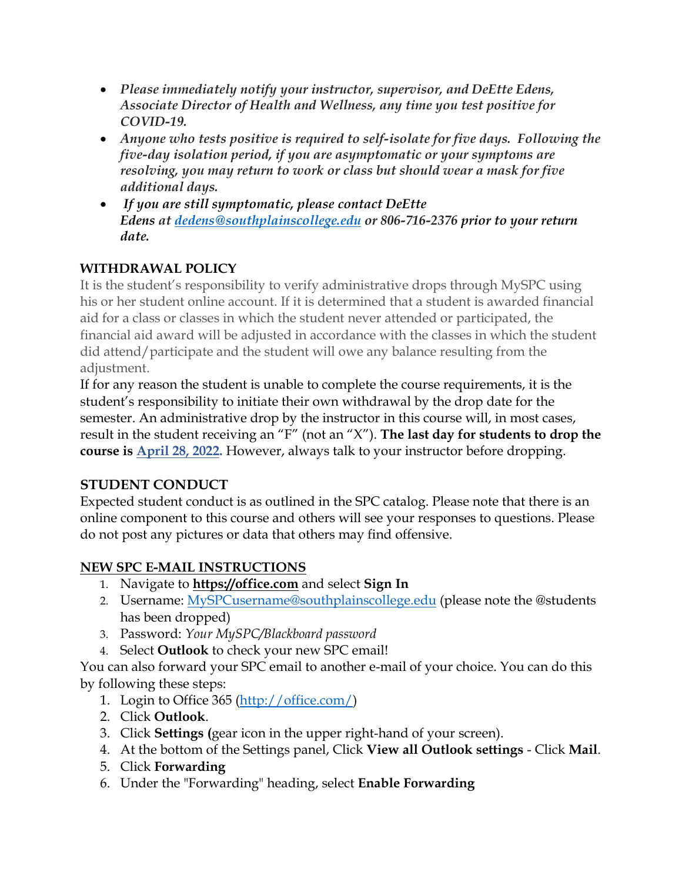- *Please immediately notify your instructor, supervisor, and DeEtte Edens, Associate Director of Health and Wellness, any time you test positive for COVID-19.*
- *Anyone who tests positive is required to self-isolate for five days. Following the five-day isolation period, if you are asymptomatic or your symptoms are resolving, you may return to work or class but should wear a mask for five additional days.*
- *If you are still symptomatic, please contact DeEtte Edens at [dedens@southplainscollege.edu](mailto:dedens@southplainscollege.edu) or 806-716-2376 prior to your return date.*

# **WITHDRAWAL POLICY**

It is the student's responsibility to verify administrative drops through MySPC using his or her student online account. If it is determined that a student is awarded financial aid for a class or classes in which the student never attended or participated, the financial aid award will be adjusted in accordance with the classes in which the student did attend/participate and the student will owe any balance resulting from the adjustment.

If for any reason the student is unable to complete the course requirements, it is the student's responsibility to initiate their own withdrawal by the drop date for the semester. An administrative drop by the instructor in this course will, in most cases, result in the student receiving an "F" (not an "X"). **The last day for students to drop the course is April 28, 2022.** However, always talk to your instructor before dropping.

## **STUDENT CONDUCT**

Expected student conduct is as outlined in the SPC catalog. Please note that there is an online component to this course and others will see your responses to questions. Please do not post any pictures or data that others may find offensive.

## **NEW SPC E-MAIL INSTRUCTIONS**

- 1. Navigate to **[https://office.com](https://office.com/)** and select **Sign In**
- 2. Username: [MySPCusername@southplainscollege.edu](mailto:MySPCusername@southplainscollege.edu) (please note the @students has been dropped)
- 3. Password: *Your MySPC/Blackboard password*
- 4. Select **Outlook** to check your new SPC email!

You can also forward your SPC email to another e-mail of your choice. You can do this by following these steps:

- 1. Login to Office 365 [\(http://office.com/\)](http://office.com/)
- 2. Click **Outlook**.
- 3. Click **Settings (**gear icon in the upper right-hand of your screen).
- 4. At the bottom of the Settings panel, Click **View all Outlook settings** Click **Mail**.
- 5. Click **Forwarding**
- 6. Under the "Forwarding" heading, select **Enable Forwarding**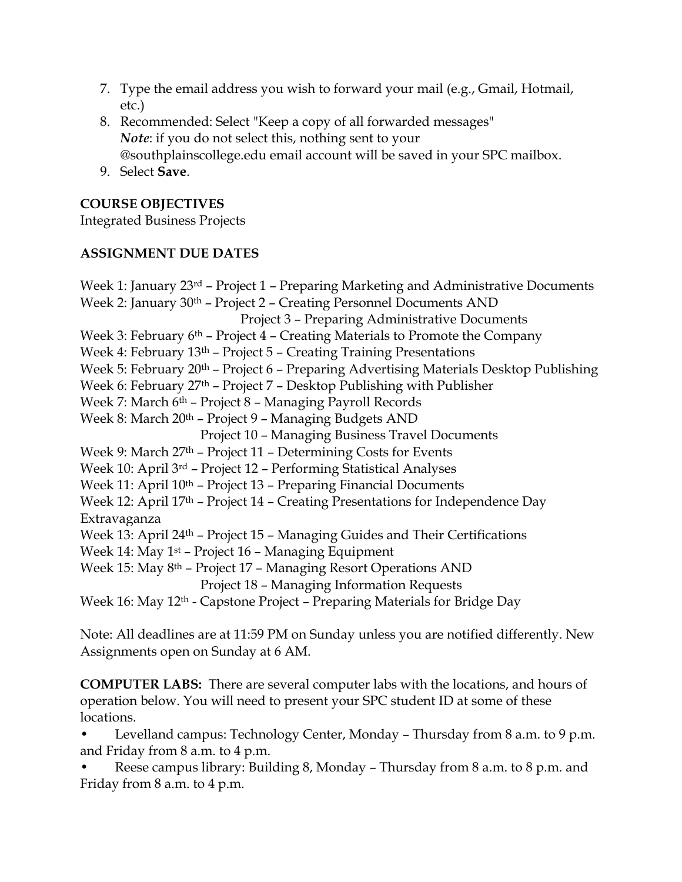- 7. Type the email address you wish to forward your mail (e.g., Gmail, Hotmail, etc.)
- 8. Recommended: Select "Keep a copy of all forwarded messages" *Note*: if you do not select this, nothing sent to your @southplainscollege.edu email account will be saved in your SPC mailbox.
- 9. Select **Save**.

### **COURSE OBJECTIVES**

Integrated Business Projects

### **ASSIGNMENT DUE DATES**

Week 1: January 23<sup>rd</sup> – Project 1 – Preparing Marketing and Administrative Documents Week 2: January 30<sup>th</sup> – Project 2 – Creating Personnel Documents AND Project 3 – Preparing Administrative Documents Week 3: February 6<sup>th</sup> – Project 4 – Creating Materials to Promote the Company Week 4: February 13<sup>th</sup> – Project 5 – Creating Training Presentations Week 5: February 20<sup>th</sup> – Project 6 – Preparing Advertising Materials Desktop Publishing Week 6: February 27<sup>th</sup> - Project 7 - Desktop Publishing with Publisher Week 7: March 6<sup>th</sup> - Project 8 - Managing Payroll Records Week 8: March 20<sup>th</sup> - Project 9 - Managing Budgets AND Project 10 – Managing Business Travel Documents Week 9: March 27<sup>th</sup> – Project 11 – Determining Costs for Events Week 10: April 3rd – Project 12 – Performing Statistical Analyses Week 11: April 10<sup>th</sup> – Project 13 – Preparing Financial Documents Week 12: April 17<sup>th</sup> - Project 14 - Creating Presentations for Independence Day Extravaganza Week 13: April 24<sup>th</sup> – Project 15 – Managing Guides and Their Certifications Week 14: May 1st – Project 16 – Managing Equipment Week 15: May 8<sup>th</sup> – Project 17 – Managing Resort Operations AND Project 18 – Managing Information Requests Week 16: May 12th - Capstone Project – Preparing Materials for Bridge Day

Note: All deadlines are at 11:59 PM on Sunday unless you are notified differently. New Assignments open on Sunday at 6 AM.

**COMPUTER LABS:** There are several computer labs with the locations, and hours of operation below. You will need to present your SPC student ID at some of these locations.

• Levelland campus: Technology Center, Monday – Thursday from 8 a.m. to 9 p.m. and Friday from 8 a.m. to 4 p.m.

• Reese campus library: Building 8, Monday – Thursday from 8 a.m. to 8 p.m. and Friday from 8 a.m. to 4 p.m.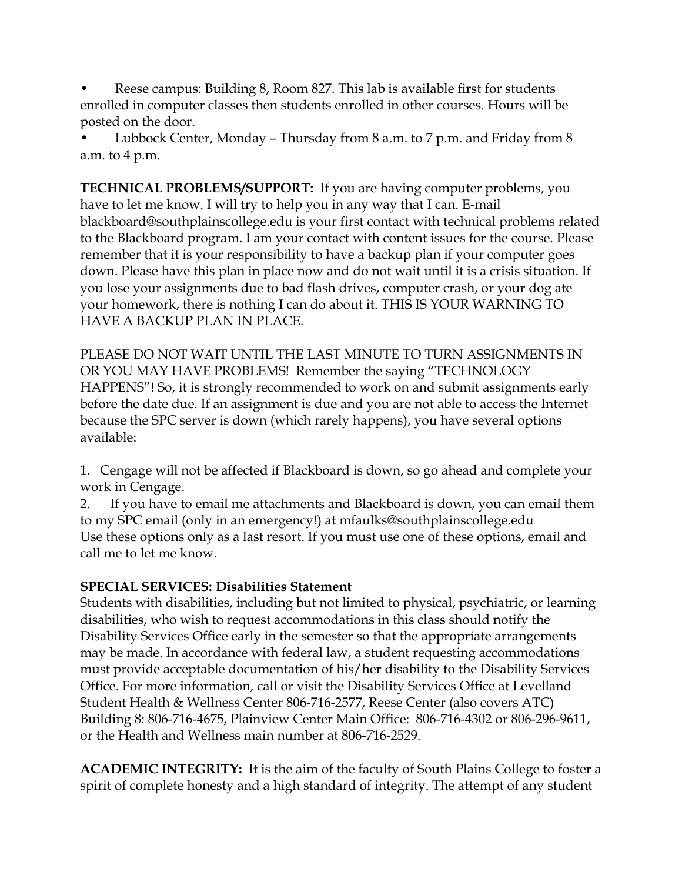• Reese campus: Building 8, Room 827. This lab is available first for students enrolled in computer classes then students enrolled in other courses. Hours will be posted on the door.

• Lubbock Center, Monday – Thursday from 8 a.m. to 7 p.m. and Friday from 8 a.m. to 4 p.m.

**TECHNICAL PROBLEMS/SUPPORT:** If you are having computer problems, you have to let me know. I will try to help you in any way that I can. E-mail blackboard@southplainscollege.edu is your first contact with technical problems related to the Blackboard program. I am your contact with content issues for the course. Please remember that it is your responsibility to have a backup plan if your computer goes down. Please have this plan in place now and do not wait until it is a crisis situation. If you lose your assignments due to bad flash drives, computer crash, or your dog ate your homework, there is nothing I can do about it. THIS IS YOUR WARNING TO HAVE A BACKUP PLAN IN PLACE.

PLEASE DO NOT WAIT UNTIL THE LAST MINUTE TO TURN ASSIGNMENTS IN OR YOU MAY HAVE PROBLEMS! Remember the saying "TECHNOLOGY HAPPENS"! So, it is strongly recommended to work on and submit assignments early before the date due. If an assignment is due and you are not able to access the Internet because the SPC server is down (which rarely happens), you have several options available:

1. Cengage will not be affected if Blackboard is down, so go ahead and complete your work in Cengage.

2. If you have to email me attachments and Blackboard is down, you can email them to my SPC email (only in an emergency!) at mfaulks@southplainscollege.edu Use these options only as a last resort. If you must use one of these options, email and call me to let me know.

### **SPECIAL SERVICES: Disabilities Statement**

Students with disabilities, including but not limited to physical, psychiatric, or learning disabilities, who wish to request accommodations in this class should notify the Disability Services Office early in the semester so that the appropriate arrangements may be made. In accordance with federal law, a student requesting accommodations must provide acceptable documentation of his/her disability to the Disability Services Office. For more information, call or visit the Disability Services Office at Levelland Student Health & Wellness Center 806-716-2577, Reese Center (also covers ATC) Building 8: 806-716-4675, Plainview Center Main Office: 806-716-4302 or 806-296-9611, or the Health and Wellness main number at 806-716-2529.

**ACADEMIC INTEGRITY:** It is the aim of the faculty of South Plains College to foster a spirit of complete honesty and a high standard of integrity. The attempt of any student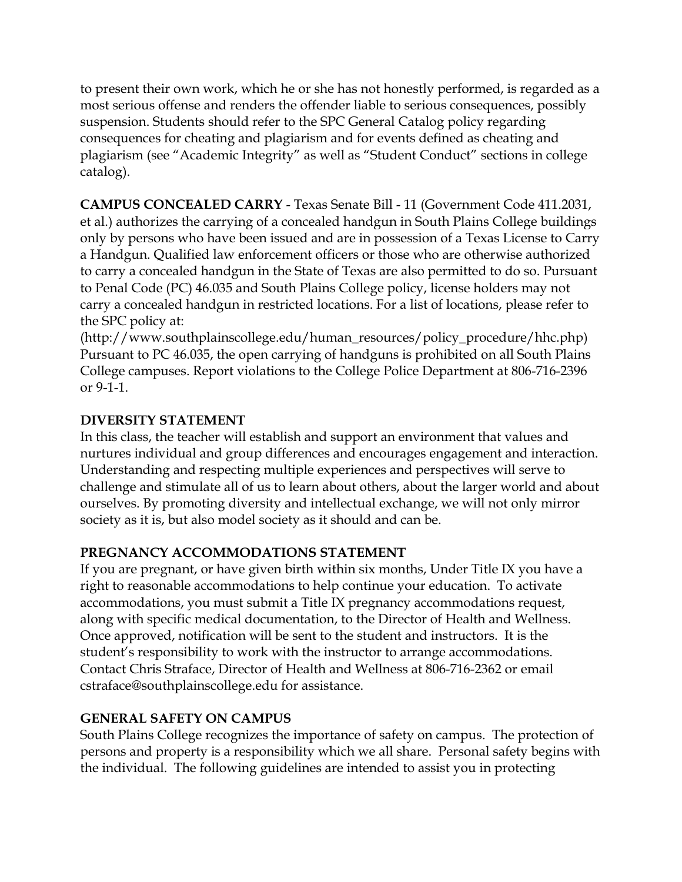to present their own work, which he or she has not honestly performed, is regarded as a most serious offense and renders the offender liable to serious consequences, possibly suspension. Students should refer to the SPC General Catalog policy regarding consequences for cheating and plagiarism and for events defined as cheating and plagiarism (see "Academic Integrity" as well as "Student Conduct" sections in college catalog).

**CAMPUS CONCEALED CARRY** - Texas Senate Bill - 11 (Government Code 411.2031, et al.) authorizes the carrying of a concealed handgun in South Plains College buildings only by persons who have been issued and are in possession of a Texas License to Carry a Handgun. Qualified law enforcement officers or those who are otherwise authorized to carry a concealed handgun in the State of Texas are also permitted to do so. Pursuant to Penal Code (PC) 46.035 and South Plains College policy, license holders may not carry a concealed handgun in restricted locations. For a list of locations, please refer to the SPC policy at:

(http://www.southplainscollege.edu/human\_resources/policy\_procedure/hhc.php) Pursuant to PC 46.035, the open carrying of handguns is prohibited on all South Plains College campuses. Report violations to the College Police Department at 806-716-2396 or 9-1-1.

### **DIVERSITY STATEMENT**

In this class, the teacher will establish and support an environment that values and nurtures individual and group differences and encourages engagement and interaction. Understanding and respecting multiple experiences and perspectives will serve to challenge and stimulate all of us to learn about others, about the larger world and about ourselves. By promoting diversity and intellectual exchange, we will not only mirror society as it is, but also model society as it should and can be.

## **PREGNANCY ACCOMMODATIONS STATEMENT**

If you are pregnant, or have given birth within six months, Under Title IX you have a right to reasonable accommodations to help continue your education. To activate accommodations, you must submit a Title IX pregnancy accommodations request, along with specific medical documentation, to the Director of Health and Wellness. Once approved, notification will be sent to the student and instructors. It is the student's responsibility to work with the instructor to arrange accommodations. Contact Chris Straface, Director of Health and Wellness at 806-716-2362 or email cstraface@southplainscollege.edu for assistance.

### **GENERAL SAFETY ON CAMPUS**

South Plains College recognizes the importance of safety on campus. The protection of persons and property is a responsibility which we all share. Personal safety begins with the individual. The following guidelines are intended to assist you in protecting